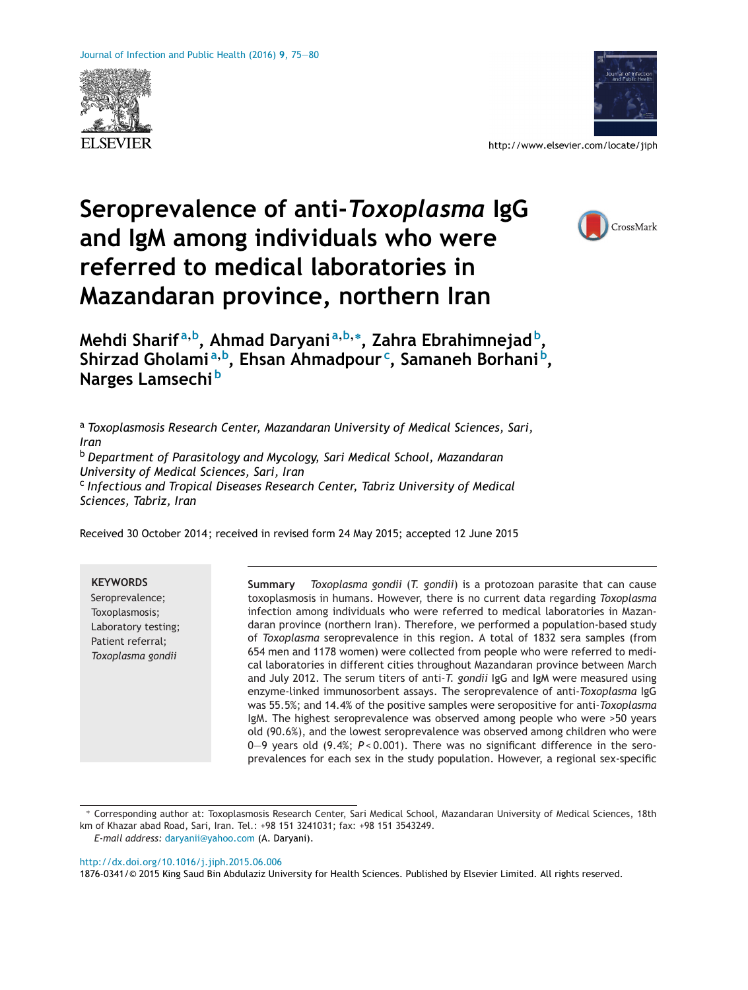



http://www.elsevier.com/locate/jiph

## **Seroprevalence of anti-***Toxoplasma* **IgG and IgM among individuals who were referred to medical laboratories in Mazandaran province, northern Iran**



**Mehdi Sharif <sup>a</sup>,b, Ahmad Daryani <sup>a</sup>,b,<sup>∗</sup> , Zahra Ebrahimnejad b, Shirzad Gholami <sup>a</sup>,b, Ehsan Ahmadpour <sup>c</sup> , Samaneh Borhani b, Narges Lamsechi <sup>b</sup>**

<sup>a</sup> *Toxoplasmosis Research Center, Mazandaran University of Medical Sciences, Sari, Iran*

<sup>b</sup> *Department of Parasitology and Mycology, Sari Medical School, Mazandaran University of Medical Sciences, Sari, Iran*

<sup>c</sup> *Infectious and Tropical Diseases Research Center, Tabriz University of Medical Sciences, Tabriz, Iran*

Received 30 October 2014 ; received in revised form 24 May 2015; accepted 12 June 2015

**KEYWORDS**

Seroprevalence; Toxoplasmosis; Laboratory testing; Patient referral; *Toxoplasma gondii*

**Summary** *Toxoplasma gondii* (*T. gondii*) is a protozoan parasite that can cause toxoplasmosis in humans. However, there is no current data regarding *Toxoplasma* infection among individuals who were referred to medical laboratories in Mazandaran province (northern Iran). Therefore, we performed a population-based study of *Toxoplasma* seroprevalence in this region. A total of 1832 sera samples (from 654 men and 1178 women) were collected from people who were referred to medical laboratories in different cities throughout Mazandaran province between March and July 2012. The serum titers of anti-*T. gondii* IgG and IgM were measured using enzyme-linked immunosorbent assays. The seroprevalence of anti-*Toxoplasma* IgG was 55.5%; and 14.4% of the positive samples were seropositive for anti-*Toxoplasma* IgM. The highest seroprevalence was observed among people who were >50 years old (90.6%), and the lowest seroprevalence was observed among children who were 0—9 years old (9.4%; *P* < 0.001). There was no significant difference in the seroprevalences for each sex in the study population. However, a regional sex-specific

*E-mail address:* [daryanii@yahoo.com](mailto:daryanii@yahoo.com) (A. Daryani).

[http://dx.doi.org/10.1016/j.jiph.2015.06.006](dx.doi.org/10.1016/j.jiph.2015.06.006)

<sup>∗</sup> Corresponding author at: Toxoplasmosis Research Center, Sari Medical School, Mazandaran University of Medical Sciences, 18th km of Khazar abad Road, Sari, Iran. Tel.: +98 151 3241031; fax: +98 151 3543249.

<sup>1876-0341/©</sup> 2015 King Saud Bin Abdulaziz University for Health Sciences. Published by Elsevier Limited. All rights reserved.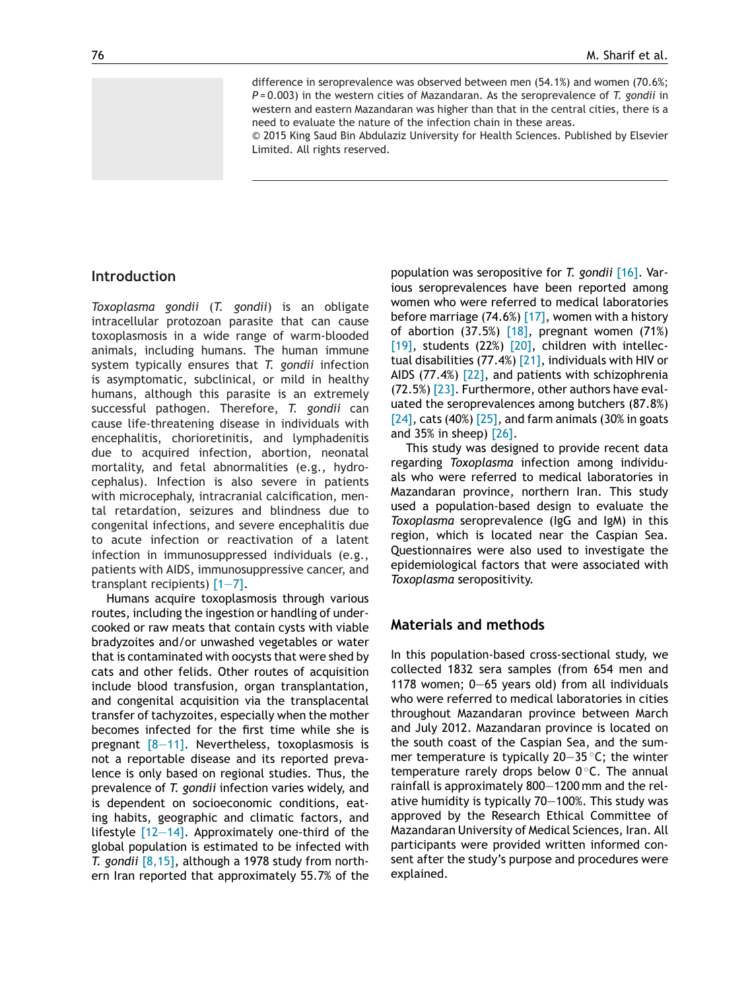difference in seroprevalence was observed between men (54.1%) and women (70.6%; *P* = 0.003) in the western cities of Mazandaran. As the seroprevalence of *T. gondii* in western and eastern Mazandaran was higher than that in the central cities, there is a need to evaluate the nature of the infection chain in these areas.

© 2015 King Saud Bin Abdulaziz University for Health Sciences. Published by Elsevier Limited. All rights reserved.

## **Introduction**

*Toxoplasma gondii* (*T. gondii*) is an obligate intracellular protozoan parasite that can cause toxoplasmosis in a wide range of warm-blooded animals, including humans. The human immune system typically ensures that *T. gondii* infection is asymptomatic, subclinical, or mild in healthy humans, although this parasite is an extremely successful pathogen. Therefore, *T. gondii* can cause life-threatening disease in individuals with encephalitis, chorioretinitis, and lymphadenitis due to acquired infection, abortion, neonatal mortality, and fetal abnormalities (e.g., hydrocephalus). Infection is also severe in patients with microcephaly, intracranial calcification, mental retardation, seizures and blindness due to congenital infections, and severe encephalitis due to acute infection or reactivation of a latent infection in immunosuppressed individuals (e.g., patients with AIDS, immunosuppressive cancer, and transplant recipients) [\[1—7\].](#page--1-0)

Humans acquire toxoplasmosis through various routes, including the ingestion or handling of undercooked or raw meats that contain cysts with viable bradyzoites and/or unwashed vegetables or water that is contaminated with oocysts that were shed by cats and other felids. Other routes of acquisition include blood transfusion, organ transplantation, and congenital acquisition via the transplacental transfer of tachyzoites, especially when the mother becomes infected for the first time while she is pregnant  $[8-11]$ . Nevertheless, toxoplasmosis is not a reportable disease and its reported prevalence is only based on regional studies. Thus, the prevalence of *T. gondii* infection varies widely, and is dependent on socioeconomic conditions, eating habits, geographic and climatic factors, and lifestyle  $[12-14]$ . Approximately one-third of the global population is estimated to be infected with *T. gondii* [\[8,15\],](#page--1-0) although a 1978 study from northern Iran reported that approximately 55.7% of the population was seropositive for *T. gondii* [\[16\].](#page--1-0) Various seroprevalences have been reported among women who were referred to medical laboratories before marriage (74.6%) [\[17\],](#page--1-0) women with a history of abortion (37.5%) [\[18\],](#page--1-0) pregnant women (71%) [\[19\],](#page--1-0) students (22%) [\[20\],](#page--1-0) children with intellectual disabilities (77.4%) [\[21\],](#page--1-0) individuals with HIV or AIDS (77.4%) [\[22\],](#page--1-0) and patients with schizophrenia (72.5%) [\[23\].](#page--1-0) Furthermore, other authors have evaluated the seroprevalences among butchers (87.8%)  $[24]$ , cats (40%)  $[25]$ , and farm animals (30% in goats and 35% in sheep) [\[26\].](#page--1-0)

This study was designed to provide recent data regarding *Toxoplasma* infection among individuals who were referred to medical laboratories in Mazandaran province, northern Iran. This study used a population-based design to evaluate the *Toxoplasma* seroprevalence (IgG and IgM) in this region, which is located near the Caspian Sea. Questionnaires were also used to investigate the epidemiological factors that were associated with *Toxoplasma* seropositivity.

## **Materials and methods**

In this population-based cross-sectional study, we collected 1832 sera samples (from 654 men and 1178 women; 0—65 years old) from all individuals who were referred to medical laboratories in cities throughout Mazandaran province between March and July 2012. Mazandaran province is located on the south coast of the Caspian Sea, and the summer temperature is typically 20—35 ◦C; the winter temperature rarely drops below  $0^{\circ}$ C. The annual rainfall is approximately 800—1200 mm and the relative humidity is typically 70—100%. This study was approved by the Research Ethical Committee of Mazandaran University of Medical Sciences, Iran. All participants were provided written informed consent after the study's purpose and procedures were explained.